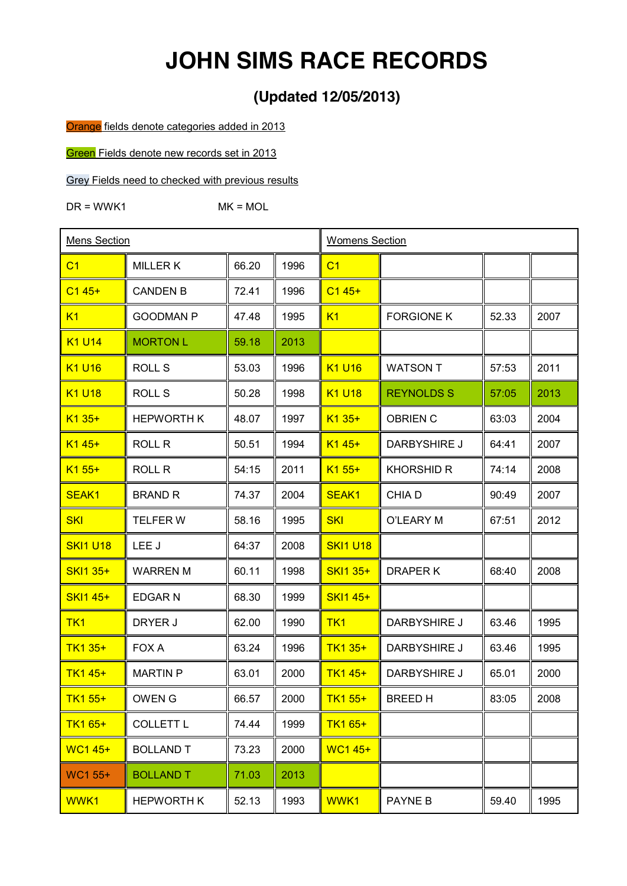# **JOHN SIMS RACE RECORDS**

## **(Updated 12/05/2013)**

Orange fields denote categories added in 2013

Green Fields denote new records set in 2013

Grey Fields need to checked with previous results

 $DR = WWK1$  MK = MOL

| Mens Section      |                   |       | <b>Womens Section</b> |                                |                   |       |      |
|-------------------|-------------------|-------|-----------------------|--------------------------------|-------------------|-------|------|
| C <sub>1</sub>    | <b>MILLERK</b>    | 66.20 | 1996                  | C <sub>1</sub>                 |                   |       |      |
| $C145+$           | <b>CANDEN B</b>   | 72.41 | 1996                  | $C145+$                        |                   |       |      |
| K1                | <b>GOODMAN P</b>  | 47.48 | 1995                  | K1                             | <b>FORGIONE K</b> | 52.33 | 2007 |
| K1 U14            | <b>MORTON L</b>   | 59.18 | 2013                  |                                |                   |       |      |
| <b>K1 U16</b>     | <b>ROLL S</b>     | 53.03 | 1996                  | K <sub>1</sub> U <sub>16</sub> | <b>WATSON T</b>   | 57:53 | 2011 |
| <b>K1 U18</b>     | <b>ROLL S</b>     | 50.28 | 1998                  | <b>K1 U18</b>                  | <b>REYNOLDS S</b> | 57:05 | 2013 |
| $K135+$           | <b>HEPWORTH K</b> | 48.07 | 1997                  | $K135+$                        | <b>OBRIEN C</b>   | 63:03 | 2004 |
| $K145+$           | <b>ROLL R</b>     | 50.51 | 1994                  | $K145+$                        | DARBYSHIRE J      | 64:41 | 2007 |
| $K1 55+$          | <b>ROLL R</b>     | 54:15 | 2011                  | $K155+$                        | <b>KHORSHID R</b> | 74:14 | 2008 |
| SEAK <sub>1</sub> | <b>BRAND R</b>    | 74.37 | 2004                  | <b>SEAK1</b>                   | <b>CHIAD</b>      | 90:49 | 2007 |
| <b>SKI</b>        | <b>TELFERW</b>    | 58.16 | 1995                  | <b>SKI</b>                     | O'LEARY M         | 67:51 | 2012 |
| <b>SKI1 U18</b>   | LEE J             | 64:37 | 2008                  | <b>SKI1 U18</b>                |                   |       |      |
| <b>SKI1 35+</b>   | <b>WARREN M</b>   | 60.11 | 1998                  | SKI1 35+                       | DRAPER K          | 68:40 | 2008 |
| <b>SKI1 45+</b>   | EDGAR N           | 68.30 | 1999                  | <b>SKI1 45+</b>                |                   |       |      |
| TK <sub>1</sub>   | DRYER J           | 62.00 | 1990                  | TK <sub>1</sub>                | DARBYSHIRE J      | 63.46 | 1995 |
| TK1 35+           | FOX A             | 63.24 | 1996                  | TK1 35+                        | DARBYSHIRE J      | 63.46 | 1995 |
| <b>TK1 45+</b>    | <b>MARTIN P</b>   | 63.01 | 2000                  | TK1 45+                        | DARBYSHIRE J      | 65.01 | 2000 |
| TK1 55+           | OWEN G            | 66.57 | 2000                  | TK1 55+                        | BREED H           | 83:05 | 2008 |
| TK1 65+           | <b>COLLETT L</b>  | 74.44 | 1999                  | TK1 65+                        |                   |       |      |
| <b>WC1 45+</b>    | <b>BOLLAND T</b>  | 73.23 | 2000                  | <b>WC145+</b>                  |                   |       |      |
| WC1 55+           | <b>BOLLAND T</b>  | 71.03 | 2013                  |                                |                   |       |      |
| WWK1              | <b>HEPWORTH K</b> | 52.13 | 1993                  | WWK1                           | PAYNE B           | 59.40 | 1995 |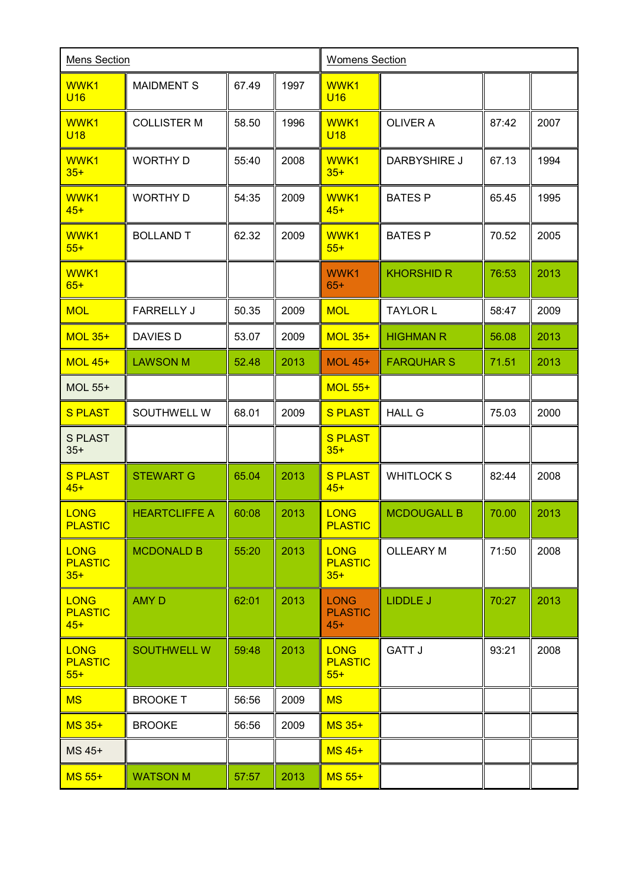| <b>Mens Section</b>                    |                      |       | <b>Womens Section</b> |                                        |                    |       |      |
|----------------------------------------|----------------------|-------|-----------------------|----------------------------------------|--------------------|-------|------|
| WWK1<br><b>U16</b>                     | <b>MAIDMENT S</b>    | 67.49 | 1997                  | WWK1<br><b>U16</b>                     |                    |       |      |
| WWK1<br><b>U18</b>                     | <b>COLLISTER M</b>   | 58.50 | 1996                  | WWK1<br><b>U18</b>                     | <b>OLIVER A</b>    | 87:42 | 2007 |
| WWK1<br>$35+$                          | <b>WORTHY D</b>      | 55:40 | 2008                  | WWK1<br>$35+$                          | DARBYSHIRE J       | 67.13 | 1994 |
| WWK1<br>$45+$                          | <b>WORTHY D</b>      | 54:35 | 2009                  | WWK1<br>$45+$                          | <b>BATES P</b>     | 65.45 | 1995 |
| WWK1<br>$55+$                          | <b>BOLLAND T</b>     | 62.32 | 2009                  | WWK1<br>$55+$                          | <b>BATES P</b>     | 70.52 | 2005 |
| WWK1<br>$65+$                          |                      |       |                       | WWK1<br>$65+$                          | <b>KHORSHID R</b>  | 76:53 | 2013 |
| <b>MOL</b>                             | <b>FARRELLY J</b>    | 50.35 | 2009                  | <b>MOL</b>                             | <b>TAYLOR L</b>    | 58:47 | 2009 |
| <b>MOL 35+</b>                         | DAVIES D             | 53.07 | 2009                  | <b>MOL 35+</b>                         | <b>HIGHMAN R</b>   | 56.08 | 2013 |
| <b>MOL 45+</b>                         | <b>LAWSON M</b>      | 52.48 | 2013                  | <b>MOL 45+</b>                         | <b>FARQUHAR S</b>  | 71.51 | 2013 |
| MOL 55+                                |                      |       |                       | <b>MOL 55+</b>                         |                    |       |      |
| <b>S PLAST</b>                         | SOUTHWELL W          | 68.01 | 2009                  | <b>S PLAST</b>                         | <b>HALL G</b>      | 75.03 | 2000 |
| <b>S PLAST</b><br>$35+$                |                      |       |                       | <b>S PLAST</b><br>$35+$                |                    |       |      |
| <b>S PLAST</b><br>$45+$                | <b>STEWART G</b>     | 65.04 | 2013                  | <b>S PLAST</b><br>$45+$                | <b>WHITLOCKS</b>   | 82:44 | 2008 |
| <b>LONG</b><br><b>PLASTIC</b>          | <b>HEARTCLIFFE A</b> | 60:08 | 2013                  | <b>LONG</b><br><b>PLASTIC</b>          | <b>MCDOUGALL B</b> | 70.00 | 2013 |
| <b>LONG</b><br><b>PLASTIC</b><br>$35+$ | <b>MCDONALD B</b>    | 55:20 | 2013                  | <b>LONG</b><br><b>PLASTIC</b><br>$35+$ | <b>OLLEARY M</b>   | 71:50 | 2008 |
| <b>LONG</b><br><b>PLASTIC</b><br>$45+$ | <b>AMY D</b>         | 62:01 | 2013                  | <b>LONG</b><br><b>PLASTIC</b><br>$45+$ | <b>LIDDLE J</b>    | 70:27 | 2013 |
| <b>LONG</b><br><b>PLASTIC</b><br>$55+$ | <b>SOUTHWELL W</b>   | 59:48 | 2013                  | <b>LONG</b><br><b>PLASTIC</b><br>$55+$ | <b>GATT J</b>      | 93:21 | 2008 |
| <b>MS</b>                              | <b>BROOKET</b>       | 56:56 | 2009                  | <b>MS</b>                              |                    |       |      |
| <b>MS 35+</b>                          | <b>BROOKE</b>        | 56:56 | 2009                  | <b>MS 35+</b>                          |                    |       |      |
| MS 45+                                 |                      |       |                       | <b>MS 45+</b>                          |                    |       |      |
| <b>MS 55+</b>                          | <b>WATSON M</b>      | 57:57 | 2013                  | <b>MS 55+</b>                          |                    |       |      |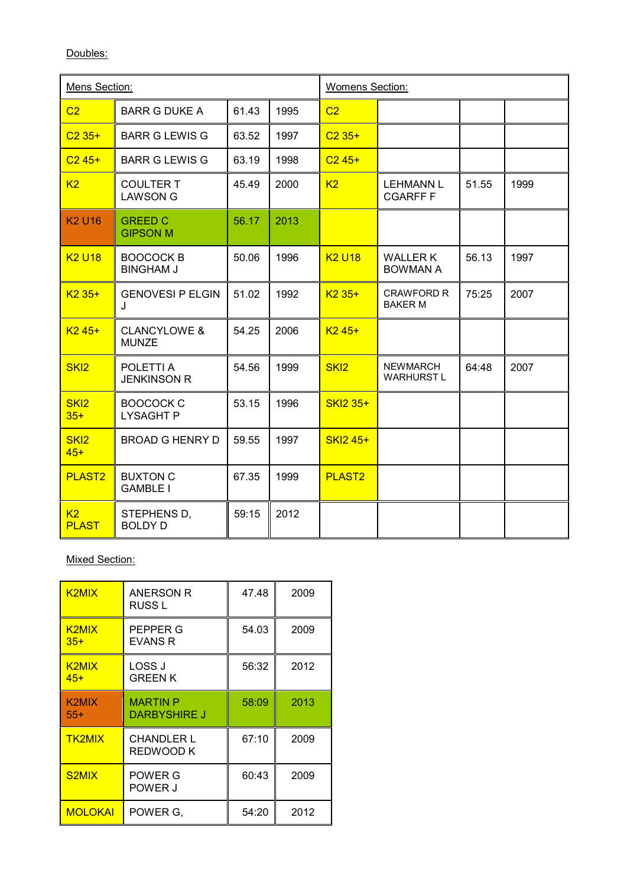Doubles:

| Mens Section:             |                                         |       | <b>Womens Section:</b> |                  |                                      |       |      |
|---------------------------|-----------------------------------------|-------|------------------------|------------------|--------------------------------------|-------|------|
| C <sub>2</sub>            | <b>BARR G DUKE A</b>                    | 61.43 | 1995                   | C <sub>2</sub>   |                                      |       |      |
| $C235+$                   | <b>BARR G LEWIS G</b>                   | 63.52 | 1997                   | $C235+$          |                                      |       |      |
| $C245+$                   | <b>BARR G LEWIS G</b>                   | 63.19 | 1998                   | $C245+$          |                                      |       |      |
| K <sub>2</sub>            | <b>COULTER T</b><br><b>LAWSON G</b>     | 45.49 | 2000                   | K <sub>2</sub>   | <b>LEHMANN L</b><br><b>CGARFF F</b>  | 51.55 | 1999 |
| <b>K2 U16</b>             | <b>GREED C</b><br><b>GIPSON M</b>       | 56.17 | 2013                   |                  |                                      |       |      |
| <b>K2 U18</b>             | <b>BOOCOCK B</b><br><b>BINGHAM J</b>    | 50.06 | 1996                   | <b>K2 U18</b>    | <b>WALLER K</b><br><b>BOWMAN A</b>   | 56.13 | 1997 |
| $K235+$                   | <b>GENOVESI P ELGIN</b><br>$\mathbf{J}$ | 51.02 | 1992                   | $K235+$          | <b>CRAWFORD R</b><br><b>BAKER M</b>  | 75:25 | 2007 |
| $K245+$                   | <b>CLANCYLOWE &amp;</b><br><b>MUNZE</b> | 54.25 | 2006                   | $K245+$          |                                      |       |      |
| SK <sub>12</sub>          | POLETTI A<br><b>JENKINSON R</b>         | 54.56 | 1999                   | SKI <sub>2</sub> | <b>NEWMARCH</b><br><b>WARHURST L</b> | 64:48 | 2007 |
| SK <sub>12</sub><br>$35+$ | <b>BOOCOCK C</b><br><b>LYSAGHT P</b>    | 53.15 | 1996                   | <b>SKI2 35+</b>  |                                      |       |      |
| SK <sub>12</sub><br>$45+$ | <b>BROAD G HENRY D</b>                  | 59.55 | 1997                   | <b>SKI2 45+</b>  |                                      |       |      |
| <b>PLAST2</b>             | <b>BUXTON C</b><br><b>GAMBLE I</b>      | 67.35 | 1999                   | <b>PLAST2</b>    |                                      |       |      |
| K2<br><b>PLAST</b>        | STEPHENS D,<br><b>BOLDY D</b>           | 59:15 | 2012                   |                  |                                      |       |      |

#### Mixed Section:

| K <sub>2</sub> MIX             | ANERSON R<br>RUSS L             | 47.48 | 2009 |
|--------------------------------|---------------------------------|-------|------|
| K <sub>2</sub> MIX<br>$35+$    | PEPPER G<br><b>EVANS R</b>      | 54.03 | 2009 |
| K <sub>2</sub> MIX<br>$45+$    | LOSS J<br>GREEN K               | 56:32 | 2012 |
| K2MIX<br>$55+$                 | <b>MARTIN P</b><br>DARBYSHIRE J | 58:09 | 2013 |
| <b>TK2MIX</b>                  | <b>CHANDLER L</b><br>REDWOOD K  | 67:10 | 2009 |
| S <sub>2</sub> M <sub>IX</sub> | POWER G<br>POWER J              | 60:43 | 2009 |
| <b>MOLOKAI</b>                 | POWER G.                        | 54:20 | 2012 |